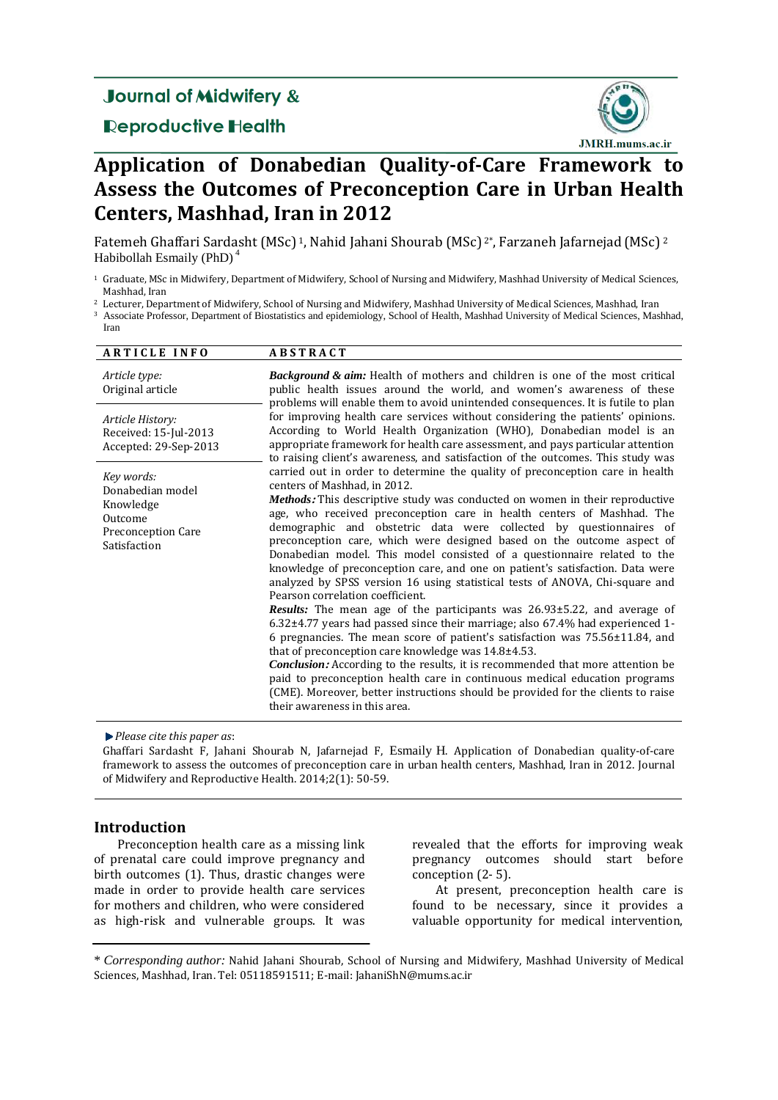## **Journal of Midwifery &**

### **Reproductive Health**



# **Application of Donabedian Quality-of-Care Framework to Assess the Outcomes of Preconception Care in Urban Health Centers, Mashhad, Iran in 2012**

Fatemeh Ghaffari Sardasht (MSc)<sup>1</sup>, Nahid Jahani Shourab (MSc)<sup>2\*</sup>, Farzaneh Jafarnejad (MSc)<sup>2</sup> Habibollah Esmaily (PhD) <sup>4</sup>

<sup>1</sup> Graduate, MSc in Midwifery, Department of Midwifery, School of Nursing and Midwifery, Mashhad University of Medical Sciences, Mashhad, Iran

<sup>2</sup> Lecturer, Department of Midwifery, School of Nursing and Midwifery, Mashhad University of Medical Sciences, Mashhad, Iran

<sup>3</sup> Associate Professor, Department of Biostatistics and epidemiology, School of Health, Mashhad University of Medical Sciences, Mashhad, Iran

| <b>ARTICLE INFO</b>                                                                          | <b>ABSTRACT</b>                                                                                                                                                                                                                                                                                                                                                                                                                                                                                                                                                                                                                                                                                                                                                                                                                                                                                                                                                                                                                                                                                                                                                                                                                                                                                                                                |
|----------------------------------------------------------------------------------------------|------------------------------------------------------------------------------------------------------------------------------------------------------------------------------------------------------------------------------------------------------------------------------------------------------------------------------------------------------------------------------------------------------------------------------------------------------------------------------------------------------------------------------------------------------------------------------------------------------------------------------------------------------------------------------------------------------------------------------------------------------------------------------------------------------------------------------------------------------------------------------------------------------------------------------------------------------------------------------------------------------------------------------------------------------------------------------------------------------------------------------------------------------------------------------------------------------------------------------------------------------------------------------------------------------------------------------------------------|
| Article type:<br>Original article                                                            | <b>Background &amp; aim:</b> Health of mothers and children is one of the most critical<br>public health issues around the world, and women's awareness of these<br>problems will enable them to avoid unintended consequences. It is futile to plan                                                                                                                                                                                                                                                                                                                                                                                                                                                                                                                                                                                                                                                                                                                                                                                                                                                                                                                                                                                                                                                                                           |
| Article History:<br>Received: 15-Jul-2013<br>Accepted: 29-Sep-2013                           | for improving health care services without considering the patients' opinions.<br>According to World Health Organization (WHO), Donabedian model is an<br>appropriate framework for health care assessment, and pays particular attention<br>to raising client's awareness, and satisfaction of the outcomes. This study was                                                                                                                                                                                                                                                                                                                                                                                                                                                                                                                                                                                                                                                                                                                                                                                                                                                                                                                                                                                                                   |
| Key words:<br>Donabedian model<br>Knowledge<br>Outcome<br>Preconception Care<br>Satisfaction | carried out in order to determine the quality of preconception care in health<br>centers of Mashhad, in 2012.<br><b>Methods:</b> This descriptive study was conducted on women in their reproductive<br>age, who received preconception care in health centers of Mashhad. The<br>demographic and obstetric data were collected by questionnaires of<br>preconception care, which were designed based on the outcome aspect of<br>Donabedian model. This model consisted of a questionnaire related to the<br>knowledge of preconception care, and one on patient's satisfaction. Data were<br>analyzed by SPSS version 16 using statistical tests of ANOVA, Chi-square and<br>Pearson correlation coefficient.<br><b>Results:</b> The mean age of the participants was $26.93 \pm 5.22$ , and average of<br>$6.32\pm4.77$ years had passed since their marriage; also 67.4% had experienced 1-<br>6 pregnancies. The mean score of patient's satisfaction was $75.56\pm11.84$ , and<br>that of preconception care knowledge was $14.8 \pm 4.53$ .<br><b>Conclusion:</b> According to the results, it is recommended that more attention be<br>paid to preconception health care in continuous medical education programs<br>(CME). Moreover, better instructions should be provided for the clients to raise<br>their awareness in this area. |

*Please cite this paper as*:

Ghaffari Sardasht F, Jahani Shourab N, Jafarnejad F, Esmaily H. Application of Donabedian quality-of-care framework to assess the outcomes of preconception care in urban health centers, Mashhad, Iran in 2012. Journal of Midwifery and Reproductive Health. 2014;2(1): 50-59.

#### **Introduction**

Preconception health care as a missing link of prenatal care could improve pregnancy and birth outcomes (1). Thus, drastic changes were made in order to provide health care services for mothers and children, who were considered as high-risk and vulnerable groups. It was revealed that the efforts for improving weak pregnancy outcomes should start before conception (2- 5).

At present, preconception health care is found to be necessary, since it provides a valuable opportunity for medical intervention,

<sup>\*</sup> *Corresponding author:* Nahid Jahani Shourab, School of Nursing and Midwifery, Mashhad University of Medical Sciences, Mashhad, Iran. Tel: 05118591511; E-mail: JahaniShN@mums.ac.ir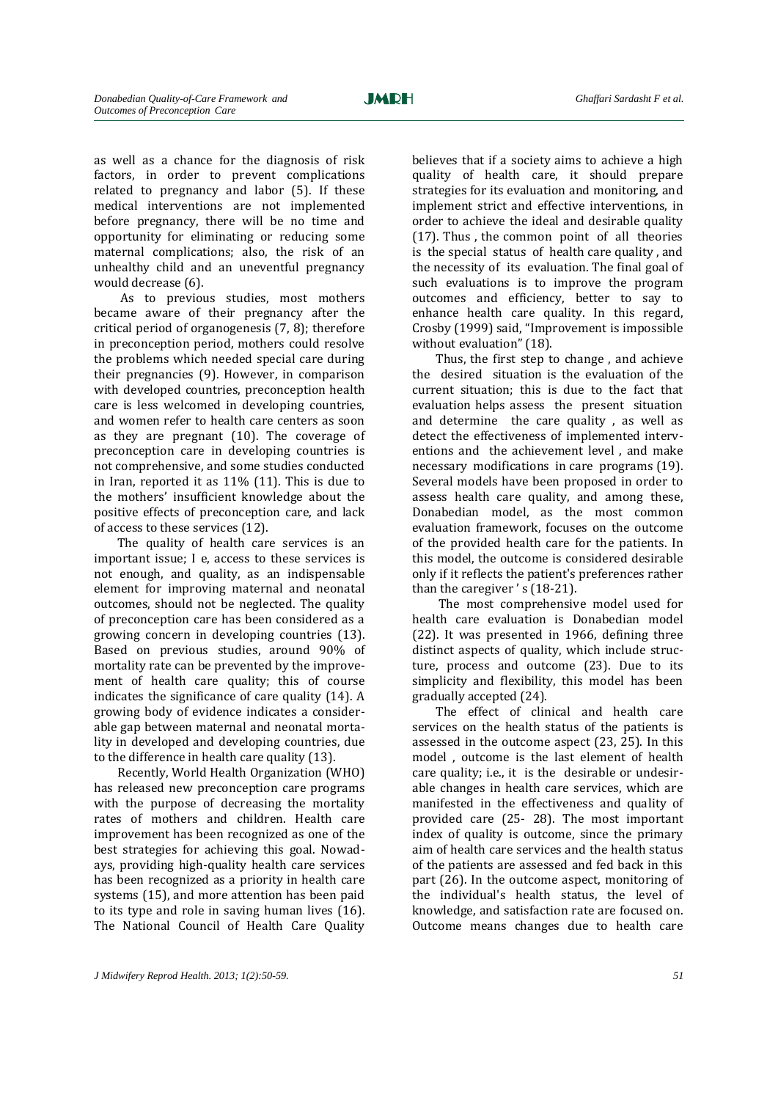as well as a chance for the diagnosis of risk factors, in order to prevent complications related to pregnancy and labor (5). If these medical interventions are not implemented before pregnancy, there will be no time and opportunity for eliminating or reducing some maternal complications; also, the risk of an unhealthy child and an uneventful pregnancy would decrease (6).

As to previous studies, most mothers became aware of their pregnancy after the critical period of organogenesis (7, 8); therefore in preconception period, mothers could resolve the problems which needed special care during their pregnancies (9). However, in comparison with developed countries, preconception health care is less welcomed in developing countries, and women refer to health care centers as soon as they are pregnant (10). The coverage of preconception care in developing countries is not comprehensive, and some studies conducted in Iran, reported it as 11% (11). This is due to the mothers' insufficient knowledge about the positive effects of preconception care, and lack of access to these services (12).

The quality of health care services is an important issue; I e, access to these services is not enough, and quality, as an indispensable element for improving maternal and neonatal outcomes, should not be neglected. The quality of preconception care has been considered as a growing concern in developing countries (13). Based on previous studies, around 90% of mortality rate can be prevented by the improvement of health care quality; this of course indicates the significance of care quality (14). A growing body of evidence indicates a considerable gap between maternal and neonatal mortality in developed and developing countries, due to the difference in health care quality (13).

Recently, World Health Organization (WHO) has released new preconception care programs with the purpose of decreasing the mortality rates of mothers and children. Health care improvement has been recognized as one of the best strategies for achieving this goal. Nowadays, providing high-quality health care services has been recognized as a priority in health care systems (15), and more attention has been paid to its type and role in saving human lives (16). The National Council of Health Care Quality believes that if a society aims to achieve a high quality of health care, it should prepare strategies for its evaluation and monitoring, and implement strict and effective interventions, in order to achieve the ideal and desirable quality (17). Thus , the common point of all theories is the special status of health care quality , and the necessity of its evaluation. The final goal of such evaluations is to improve the program outcomes and efficiency, better to say to enhance health care quality. In this regard, Crosby (1999) said, "Improvement is impossible without evaluation" (18).

Thus, the first step to change , and achieve the desired situation is the evaluation of the current situation; this is due to the fact that evaluation helps assess the present situation and determine the care quality , as well as detect the effectiveness of implemented interventions and the achievement level , and make necessary modifications in care programs (19). Several models have been proposed in order to assess health care quality, and among these, Donabedian model, as the most common evaluation framework, focuses on the outcome of the provided health care for the patients. In this model, the outcome is considered desirable only if it reflects the patient's preferences rather than the caregiver's (18-21).

The most comprehensive model used for health care evaluation is Donabedian model (22). It was presented in 1966, defining three distinct aspects of quality, which include structure, process and outcome (23). Due to its simplicity and flexibility, this model has been gradually accepted (24).

The effect of clinical and health care services on the health status of the patients is assessed in the outcome aspect (23, 25). In this model , outcome is the last element of health care quality; i.e., it is the desirable or undesirable changes in health care services, which are manifested in the effectiveness and quality of provided care (25- 28). The most important index of quality is outcome, since the primary aim of health care services and the health status of the patients are assessed and fed back in this part (26). In the outcome aspect, monitoring of the individual's health status, the level of knowledge, and satisfaction rate are focused on. Outcome means changes due to health care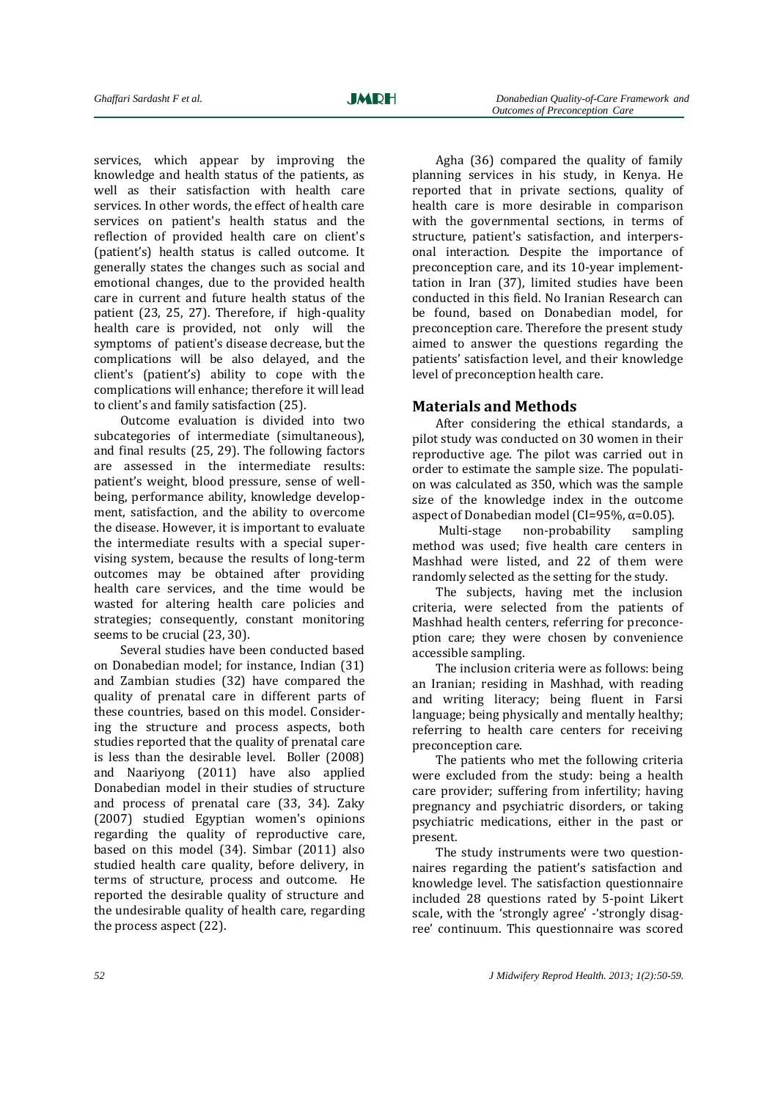services, which appear by improving the knowledge and health status of the patients, as well as their satisfaction with health care services. In other words, the effect of health care services on patient's health status and the reflection of provided health care on client's (patient's) health status is called outcome. It generally states the changes such as social and emotional changes, due to the provided health care in current and future health status of the patient (23, 25, 27). Therefore, if high-quality health care is provided, not only will the symptoms of patient's disease decrease, but the complications will be also delayed, and the client's (patient's) ability to cope with the complications will enhance; therefore it will lead to client's and family satisfaction (25).

Outcome evaluation is divided into two subcategories of intermediate (simultaneous), and final results (25, 29). The following factors are assessed in the intermediate results: patient's weight, blood pressure, sense of wellbeing, performance ability, knowledge development, satisfaction, and the ability to overcome the disease. However, it is important to evaluate the intermediate results with a special supervising system, because the results of long-term outcomes may be obtained after providing health care services, and the time would be wasted for altering health care policies and strategies; consequently, constant monitoring seems to be crucial (23, 30).

Several studies have been conducted based on Donabedian model; for instance, Indian (31) and Zambian studies (32) have compared the quality of prenatal care in different parts of these countries, based on this model. Considering the structure and process aspects, both studies reported that the quality of prenatal care is less than the desirable level. Boller (2008) and Naariyong (2011) have also applied Donabedian model in their studies of structure and process of prenatal care (33, 34). Zaky (2007) studied Egyptian women's opinions regarding the quality of reproductive care, based on this model (34). Simbar (2011) also studied health care quality, before delivery, in terms of structure, process and outcome. He reported the desirable quality of structure and the undesirable quality of health care, regarding the process aspect (22).

Agha (36) compared the quality of family planning services in his study, in Kenya. He reported that in private sections, quality of health care is more desirable in comparison with the governmental sections, in terms of structure, patient's satisfaction, and interpersonal interaction. Despite the importance of preconception care, and its 10-year implementtation in Iran (37), limited studies have been conducted in this field. No Iranian Research can be found, based on Donabedian model, for preconception care. Therefore the present study aimed to answer the questions regarding the patients' satisfaction level, and their knowledge level of preconception health care.

#### **Materials and Methods**

After considering the ethical standards, a pilot study was conducted on 30 women in their reproductive age. The pilot was carried out in order to estimate the sample size. The population was calculated as 350, which was the sample size of the knowledge index in the outcome aspect of Donabedian model (CI=95%,  $\alpha$ =0.05).

Multi-stage non-probability sampling method was used; five health care centers in Mashhad were listed, and 22 of them were randomly selected as the setting for the study.

The subjects, having met the inclusion criteria, were selected from the patients of Mashhad health centers, referring for preconception care; they were chosen by convenience accessible sampling.

The inclusion criteria were as follows: being an Iranian; residing in Mashhad, with reading and writing literacy; being fluent in Farsi language; being physically and mentally healthy; referring to health care centers for receiving preconception care.

The patients who met the following criteria were excluded from the study: being a health care provider; suffering from infertility; having pregnancy and psychiatric disorders, or taking psychiatric medications, either in the past or present.

The study instruments were two questionnaires regarding the patient's satisfaction and knowledge level. The satisfaction questionnaire included 28 questions rated by 5-point Likert scale, with the 'strongly agree' -'strongly disagree' continuum. This questionnaire was scored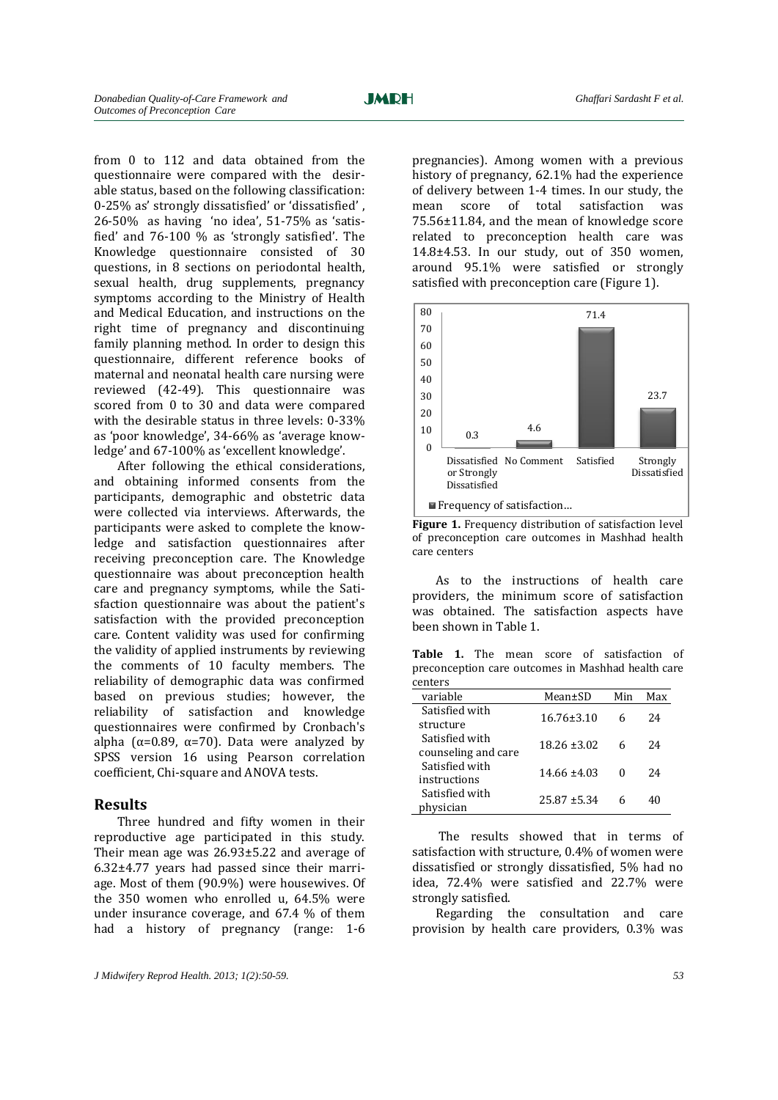from 0 to 112 and data obtained from the questionnaire were compared with the desirable status, based on the following classification: 0-25% as' strongly dissatisfied' or 'dissatisfied' , 26-50% as having 'no idea', 51-75% as 'satisfied' and 76-100 % as 'strongly satisfied'. The Knowledge questionnaire consisted of 30 questions, in 8 sections on periodontal health, sexual health, drug supplements, pregnancy symptoms according to the Ministry of Health and Medical Education, and instructions on the right time of pregnancy and discontinuing family planning method. In order to design this questionnaire, different reference books of maternal and neonatal health care nursing were reviewed (42-49). This questionnaire was scored from 0 to 30 and data were compared with the desirable status in three levels: 0-33% as 'poor knowledge', 34-66% as 'average knowledge' and 67-100% as 'excellent knowledge'.

After following the ethical considerations, and obtaining informed consents from the participants, demographic and obstetric data were collected via interviews. Afterwards, the participants were asked to complete the knowledge and satisfaction questionnaires after receiving preconception care. The Knowledge questionnaire was about preconception health care and pregnancy symptoms, while the Satisfaction questionnaire was about the patient's satisfaction with the provided preconception care. Content validity was used for confirming the validity of applied instruments by reviewing the comments of 10 faculty members. The reliability of demographic data was confirmed based on previous studies; however, the reliability of satisfaction and knowledge questionnaires were confirmed by Cronbach's alpha ( $\alpha$ =0.89,  $\alpha$ =70). Data were analyzed by SPSS version 16 using Pearson correlation coefficient, Chi-square and ANOVA tests.

#### **Results**

Three hundred and fifty women in their reproductive age participated in this study. Their mean age was 26.93±5.22 and average of 6.32±4.77 years had passed since their marriage. Most of them (90.9%) were housewives. Of the 350 women who enrolled u, 64.5% were under insurance coverage, and 67.4 % of them had a history of pregnancy (range: 1-6

pregnancies). Among women with a previous history of pregnancy, 62.1% had the experience of delivery between 1-4 times. In our study, the mean score of total satisfaction was 75.56±11.84, and the mean of knowledge score related to preconception health care was 14.8±4.53. In our study, out of 350 women, around 95.1% were satisfied or strongly satisfied with preconception care (Figure 1).



**Figure 1.** Frequency distribution of satisfaction level of preconception care outcomes in Mashhad health care centers

As to the instructions of health care providers, the minimum score of satisfaction was obtained. The satisfaction aspects have been shown in Table 1.

**Table 1.** The mean score of satisfaction of preconception care outcomes in Mashhad health care -<br>centers

| <u>centers</u>                        |                  |     |     |
|---------------------------------------|------------------|-----|-----|
| variable                              | Mean±SD          | Min | Max |
| Satisfied with<br>structure           | $16.76 \pm 3.10$ | 6   | 24  |
| Satisfied with<br>counseling and care | $18.26 \pm 3.02$ | 6   | 24  |
| Satisfied with<br>instructions        | $14.66 \pm 4.03$ |     | 24  |
| Satisfied with<br>physician           | $25.87 + 5.34$   |     | 40  |

The results showed that in terms of satisfaction with structure, 0.4% of women were dissatisfied or strongly dissatisfied, 5% had no idea, 72.4% were satisfied and 22.7% were strongly satisfied.

Regarding the consultation and care provision by health care providers, 0.3% was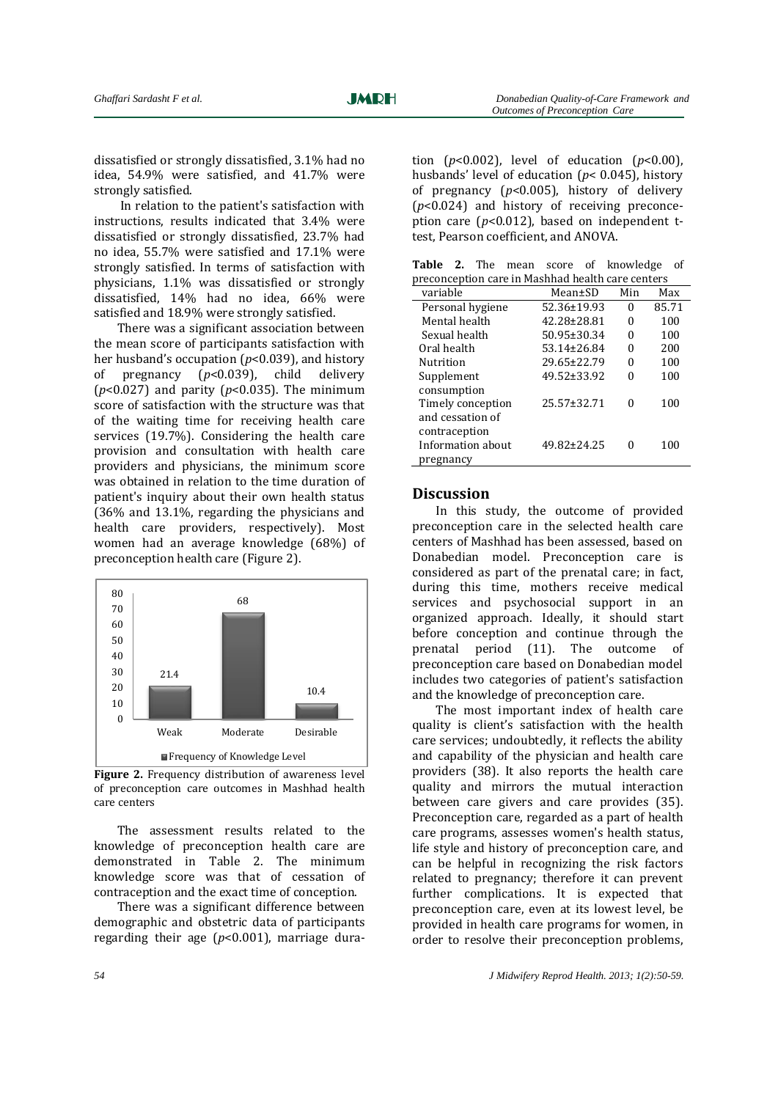dissatisfied or strongly dissatisfied, 3.1% had no idea, 54.9% were satisfied, and 41.7% were strongly satisfied.

In relation to the patient's satisfaction with instructions, results indicated that 3.4% were dissatisfied or strongly dissatisfied, 23.7% had no idea, 55.7% were satisfied and 17.1% were strongly satisfied. In terms of satisfaction with physicians, 1.1% was dissatisfied or strongly dissatisfied, 14% had no idea, 66% were satisfied and 18.9% were strongly satisfied.

There was a significant association between the mean score of participants satisfaction with her husband's occupation (*p*<0.039), and history of pregnancy (*p*<0.039), child delivery (*p*<0.027) and parity (*p*<0.035). The minimum score of satisfaction with the structure was that of the waiting time for receiving health care services (19.7%). Considering the health care provision and consultation with health care providers and physicians, the minimum score was obtained in relation to the time duration of patient's inquiry about their own health status (36% and 13.1%, regarding the physicians and health care providers, respectively). Most women had an average knowledge (68%) of preconception health care (Figure 2).



Figure 2. Frequency distribution of awareness level of preconception care outcomes in Mashhad health care centers

The assessment results related to the knowledge of preconception health care are demonstrated in Table 2. The minimum knowledge score was that of cessation of contraception and the exact time of conception.

There was a significant difference between demographic and obstetric data of participants regarding their age (*p*<0.001), marriage duration  $(p<0.002)$ , level of education  $(p<0.00)$ , husbands' level of education (*p*< 0.045), history of pregnancy (*p*<0.005), history of delivery (*p*<0.024) and history of receiving preconception care  $(p<0.012)$ , based on independent ttest, Pearson coefficient, and ANOVA.

|                                                   |  |  |  |  |  | <b>Table 2.</b> The mean score of knowledge of |  |
|---------------------------------------------------|--|--|--|--|--|------------------------------------------------|--|
| preconception care in Mashhad health care centers |  |  |  |  |  |                                                |  |

| variable          | Mean±SD           | Min | Max   |
|-------------------|-------------------|-----|-------|
| Personal hygiene  | 52.36±19.93       | 0   | 85.71 |
| Mental health     | 42.28±28.81       | 0   | 100   |
| Sexual health     | $50.95 \pm 30.34$ | 0   | 100   |
| Oral health       | 53.14±26.84       | 0   | 200   |
| Nutrition         | 29.65±22.79       | 0   | 100   |
| Supplement        | 49.52±33.92       |     | 100   |
| consumption       |                   |     |       |
| Timely conception | 25.57±32.71       | 0   | 100   |
| and cessation of  |                   |     |       |
| contraception     |                   |     |       |
| Information about | 49.82±24.25       |     | 100   |
| pregnancy         |                   |     |       |

#### **Discussion**

In this study, the outcome of provided preconception care in the selected health care centers of Mashhad has been assessed, based on Donabedian model. Preconception care is considered as part of the prenatal care; in fact, during this time, mothers receive medical services and psychosocial support in an organized approach. Ideally, it should start before conception and continue through the prenatal period (11). The outcome of preconception care based on Donabedian model includes two categories of patient's satisfaction and the knowledge of preconception care.

The most important index of health care quality is client's satisfaction with the health care services; undoubtedly, it reflects the ability and capability of the physician and health care providers (38). It also reports the health care quality and mirrors the mutual interaction between care givers and care provides (35). Preconception care, regarded as a part of health care programs, assesses women's health status, life style and history of preconception care, and can be helpful in recognizing the risk factors related to pregnancy; therefore it can prevent further complications. It is expected that preconception care, even at its lowest level, be provided in health care programs for women, in order to resolve their preconception problems,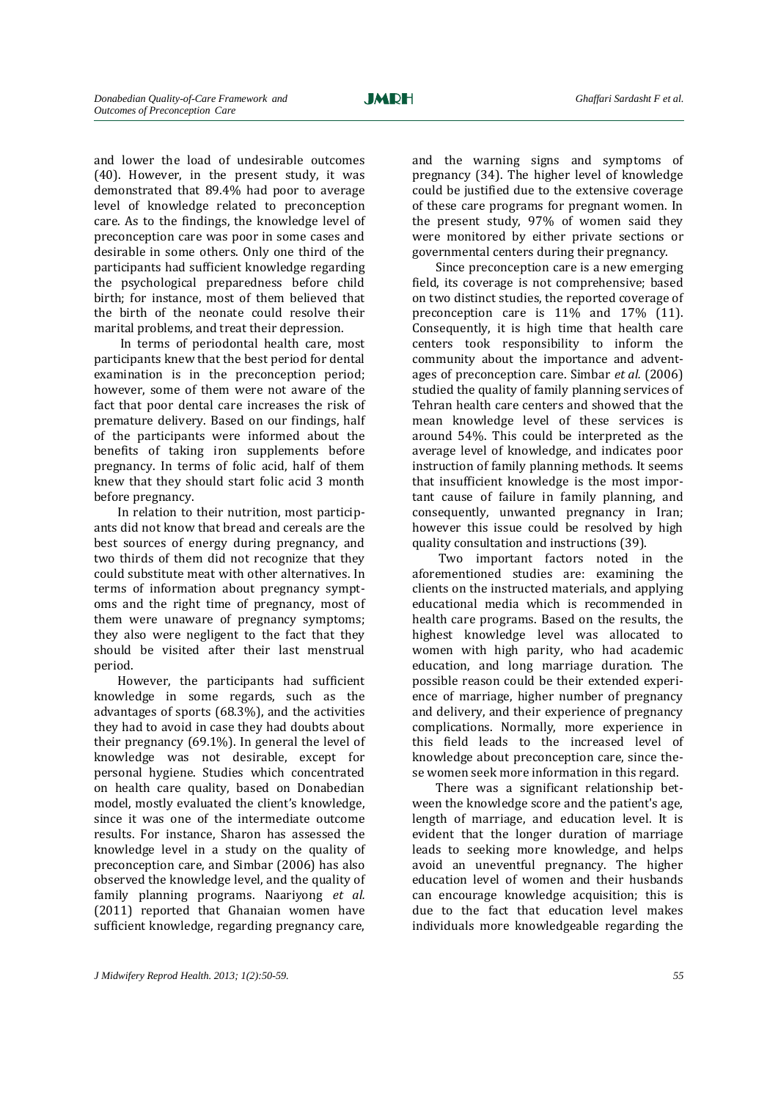and lower the load of undesirable outcomes (40). However, in the present study, it was demonstrated that 89.4% had poor to average level of knowledge related to preconception care. As to the findings, the knowledge level of preconception care was poor in some cases and desirable in some others. Only one third of the participants had sufficient knowledge regarding the psychological preparedness before child birth; for instance, most of them believed that the birth of the neonate could resolve their marital problems, and treat their depression.

In terms of periodontal health care, most participants knew that the best period for dental examination is in the preconception period; however, some of them were not aware of the fact that poor dental care increases the risk of premature delivery. Based on our findings, half of the participants were informed about the benefits of taking iron supplements before pregnancy. In terms of folic acid, half of them knew that they should start folic acid 3 month before pregnancy.

In relation to their nutrition, most participants did not know that bread and cereals are the best sources of energy during pregnancy, and two thirds of them did not recognize that they could substitute meat with other alternatives. In terms of information about pregnancy symptoms and the right time of pregnancy, most of them were unaware of pregnancy symptoms; they also were negligent to the fact that they should be visited after their last menstrual period.

However, the participants had sufficient knowledge in some regards, such as the advantages of sports (68.3%), and the activities they had to avoid in case they had doubts about their pregnancy (69.1%). In general the level of knowledge was not desirable, except for personal hygiene. Studies which concentrated on health care quality, based on Donabedian model, mostly evaluated the client's knowledge, since it was one of the intermediate outcome results. For instance, Sharon has assessed the knowledge level in a study on the quality of preconception care, and Simbar (2006) has also observed the knowledge level, and the quality of family planning programs. Naariyong *et al.* (2011) reported that Ghanaian women have sufficient knowledge, regarding pregnancy care,

and the warning signs and symptoms of pregnancy (34). The higher level of knowledge could be justified due to the extensive coverage of these care programs for pregnant women. In the present study, 97% of women said they were monitored by either private sections or governmental centers during their pregnancy.

Since preconception care is a new emerging field, its coverage is not comprehensive; based on two distinct studies, the reported coverage of preconception care is 11% and 17% (11). Consequently, it is high time that health care centers took responsibility to inform the community about the importance and adventages of preconception care. Simbar *et al.* (2006) studied the quality of family planning services of Tehran health care centers and showed that the mean knowledge level of these services is around 54%. This could be interpreted as the average level of knowledge, and indicates poor instruction of family planning methods. It seems that insufficient knowledge is the most important cause of failure in family planning, and consequently, unwanted pregnancy in Iran; however this issue could be resolved by high quality consultation and instructions (39).

Two important factors noted in the aforementioned studies are: examining the clients on the instructed materials, and applying educational media which is recommended in health care programs. Based on the results, the highest knowledge level was allocated to women with high parity, who had academic education, and long marriage duration. The possible reason could be their extended experience of marriage, higher number of pregnancy and delivery, and their experience of pregnancy complications. Normally, more experience in this field leads to the increased level of knowledge about preconception care, since these women seek more information in this regard.

There was a significant relationship between the knowledge score and the patient's age, length of marriage, and education level. It is evident that the longer duration of marriage leads to seeking more knowledge, and helps avoid an uneventful pregnancy. The higher education level of women and their husbands can encourage knowledge acquisition; this is due to the fact that education level makes individuals more knowledgeable regarding the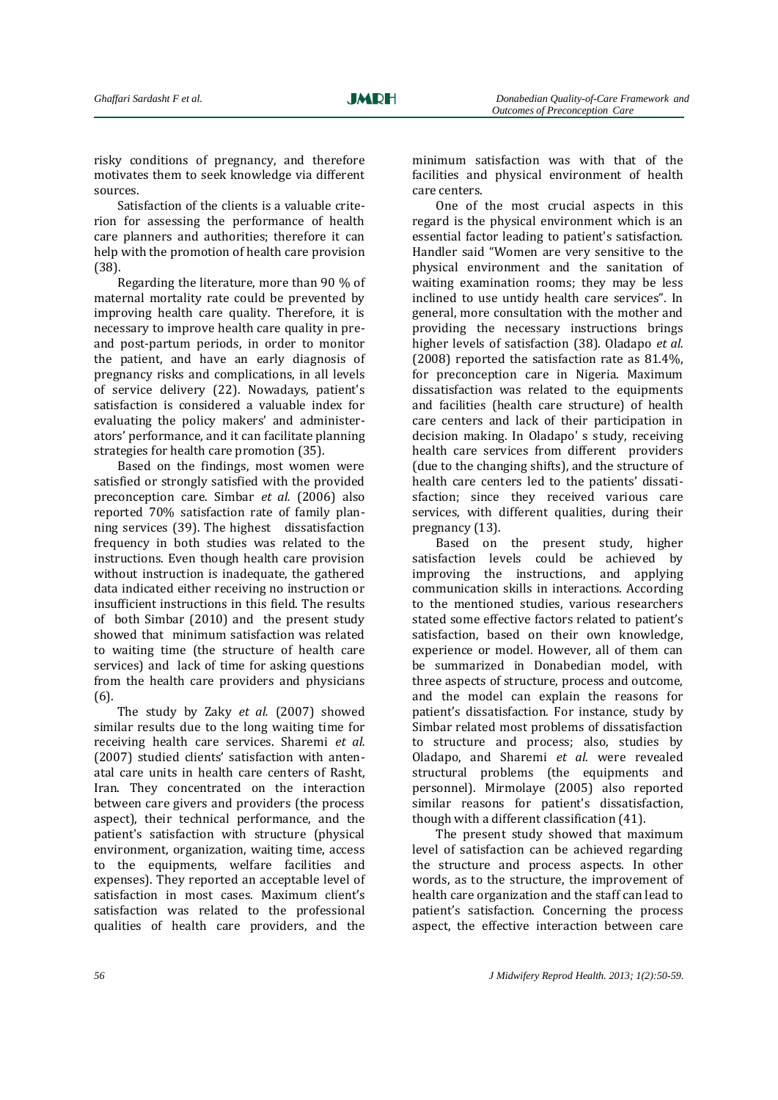risky conditions of pregnancy, and therefore motivates them to seek knowledge via different sources.

Satisfaction of the clients is a valuable criterion for assessing the performance of health care planners and authorities; therefore it can help with the promotion of health care provision (38).

Regarding the literature, more than 90 % of maternal mortality rate could be prevented by improving health care quality. Therefore, it is necessary to improve health care quality in preand post-partum periods, in order to monitor the patient, and have an early diagnosis of pregnancy risks and complications, in all levels of service delivery (22). Nowadays, patient's satisfaction is considered a valuable index for evaluating the policy makers' and administerators' performance, and it can facilitate planning strategies for health care promotion (35).

Based on the findings, most women were satisfied or strongly satisfied with the provided preconception care. Simbar *et al.* (2006) also reported 70% satisfaction rate of family planning services (39). The highest dissatisfaction frequency in both studies was related to the instructions. Even though health care provision without instruction is inadequate, the gathered data indicated either receiving no instruction or insufficient instructions in this field. The results of both Simbar (2010) and the present study showed that minimum satisfaction was related to waiting time (the structure of health care services) and lack of time for asking questions from the health care providers and physicians (6).

The study by Zaky *et al.* (2007) showed similar results due to the long waiting time for receiving health care services. Sharemi *et al.* (2007) studied clients' satisfaction with antenatal care units in health care centers of Rasht, Iran. They concentrated on the interaction between care givers and providers (the process aspect), their technical performance, and the patient's satisfaction with structure (physical environment, organization, waiting time, access to the equipments, welfare facilities and expenses). They reported an acceptable level of satisfaction in most cases. Maximum client's satisfaction was related to the professional qualities of health care providers, and the minimum satisfaction was with that of the facilities and physical environment of health care centers.

One of the most crucial aspects in this regard is the physical environment which is an essential factor leading to patient's satisfaction. Handler said "Women are very sensitive to the physical environment and the sanitation of waiting examination rooms; they may be less inclined to use untidy health care services". In general, more consultation with the mother and providing the necessary instructions brings higher levels of satisfaction (38). Oladapo *et al.* (2008) reported the satisfaction rate as 81.4%, for preconception care in Nigeria. Maximum dissatisfaction was related to the equipments and facilities (health care structure) of health care centers and lack of their participation in decision making. In Oladapo' s study, receiving health care services from different providers (due to the changing shifts), and the structure of health care centers led to the patients' dissatisfaction; since they received various care services, with different qualities, during their pregnancy (13).

Based on the present study, higher satisfaction levels could be achieved by improving the instructions, and applying communication skills in interactions. According to the mentioned studies, various researchers stated some effective factors related to patient's satisfaction, based on their own knowledge, experience or model. However, all of them can be summarized in Donabedian model, with three aspects of structure, process and outcome, and the model can explain the reasons for patient's dissatisfaction. For instance, study by Simbar related most problems of dissatisfaction to structure and process; also, studies by Oladapo, and Sharemi *et al.* were revealed structural problems (the equipments and personnel). Mirmolaye (2005) also reported similar reasons for patient's dissatisfaction, though with a different classification (41).

The present study showed that maximum level of satisfaction can be achieved regarding the structure and process aspects. In other words, as to the structure, the improvement of health care organization and the staff can lead to patient's satisfaction. Concerning the process aspect, the effective interaction between care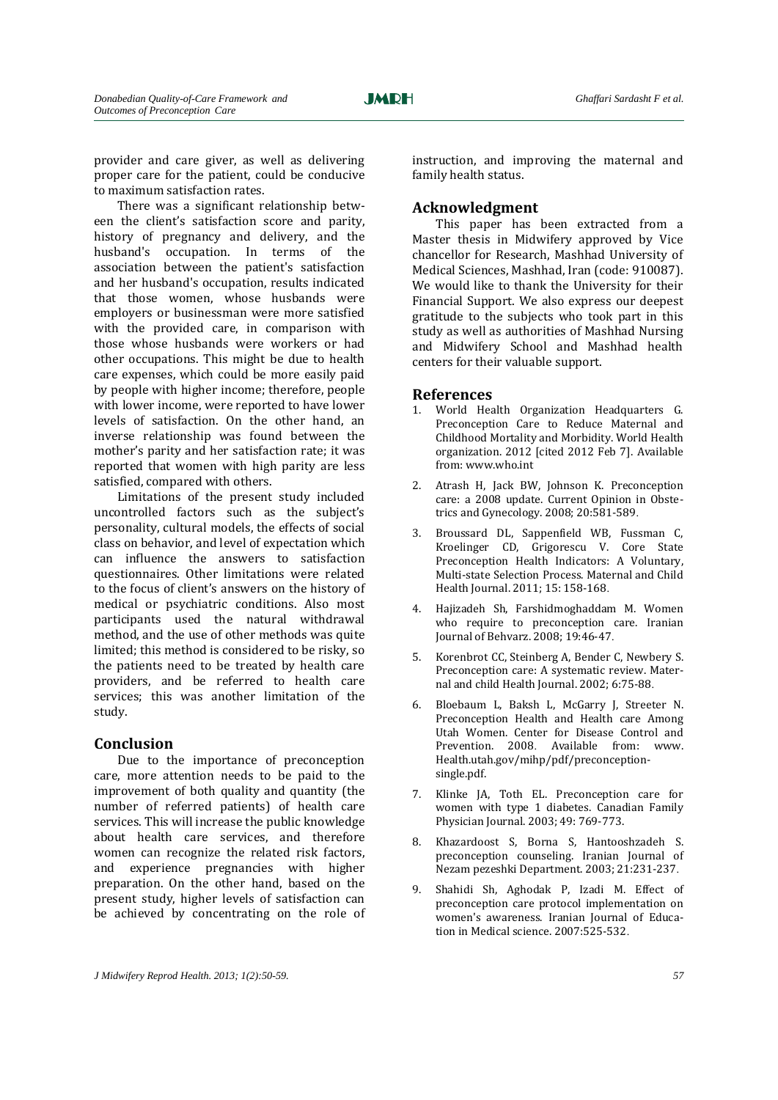provider and care giver, as well as delivering proper care for the patient, could be conducive to maximum satisfaction rates.

There was a significant relationship between the client's satisfaction score and parity, history of pregnancy and delivery, and the husband's occupation. In terms of the association between the patient's satisfaction and her husband's occupation, results indicated that those women, whose husbands were employers or businessman were more satisfied with the provided care, in comparison with those whose husbands were workers or had other occupations. This might be due to health care expenses, which could be more easily paid by people with higher income; therefore, people with lower income, were reported to have lower levels of satisfaction. On the other hand, an inverse relationship was found between the mother's parity and her satisfaction rate; it was reported that women with high parity are less satisfied, compared with others.

Limitations of the present study included uncontrolled factors such as the subject's personality, cultural models, the effects of social class on behavior, and level of expectation which can influence the answers to satisfaction questionnaires. Other limitations were related to the focus of client's answers on the history of medical or psychiatric conditions. Also most participants used the natural withdrawal method, and the use of other methods was quite limited; this method is considered to be risky, so the patients need to be treated by health care providers, and be referred to health care services; this was another limitation of the study.

#### **Conclusion**

Due to the importance of preconception care, more attention needs to be paid to the improvement of both quality and quantity (the number of referred patients) of health care services. This will increase the public knowledge about health care services, and therefore women can recognize the related risk factors, and experience pregnancies with higher preparation. On the other hand, based on the present study, higher levels of satisfaction can be achieved by concentrating on the role of instruction, and improving the maternal and family health status.

#### **Acknowledgment**

This paper has been extracted from a Master thesis in Midwifery approved by Vice chancellor for Research, Mashhad University of Medical Sciences, Mashhad, Iran (code: 910087). We would like to thank the University for their Financial Support. We also express our deepest gratitude to the subjects who took part in this study as well as authorities of Mashhad Nursing and Midwifery School and Mashhad health centers for their valuable support.

#### **References**

- 1. World Health Organization Headquarters G. Preconception Care to Reduce Maternal and Childhood Mortality and Morbidity. World Health organization. 2012 [cited 2012 Feb 7]. Available from: www.who.int
- 2. Atrash H, Jack BW, Johnson K. Preconception care: a 2008 update. Current Opinion in Obstetrics and Gynecology. 2008; 20:581-589.
- 3. Broussard DL, Sappenfield WB, Fussman C, Kroelinger CD, Grigorescu V. Core State Preconception Health Indicators: A Voluntary, Multi-state Selection Process. Maternal and Child Health Journal. 2011; 15: 158-168.
- 4. Hajizadeh Sh, Farshidmoghaddam M. Women who require to preconception care. Iranian Journal of Behvarz. 2008; 19:46-47.
- 5. Korenbrot CC, Steinberg A, Bender C, Newbery S. Preconception care: A systematic review. Maternal and child Health Journal. 2002; 6:75-88.
- 6. Bloebaum L, Baksh L, McGarry J, Streeter N. Preconception Health and Health care Among Utah Women. Center for Disease Control and Prevention. 2008. Available from: www. Health.utah.gov/mihp/pdf/preconceptionsingle.pdf.
- 7. Klinke JA, Toth EL. Preconception care for women with type 1 diabetes. Canadian Family Physician Journal. 2003; 49: 769-773.
- 8. Khazardoost S, Borna S, Hantooshzadeh S. preconception counseling. Iranian Journal of Nezam pezeshki Department. 2003; 21:231-237.
- 9. Shahidi Sh, Aghodak P, Izadi M. Effect of preconception care protocol implementation on women's awareness. Iranian Journal of Education in Medical science. 2007:525-532.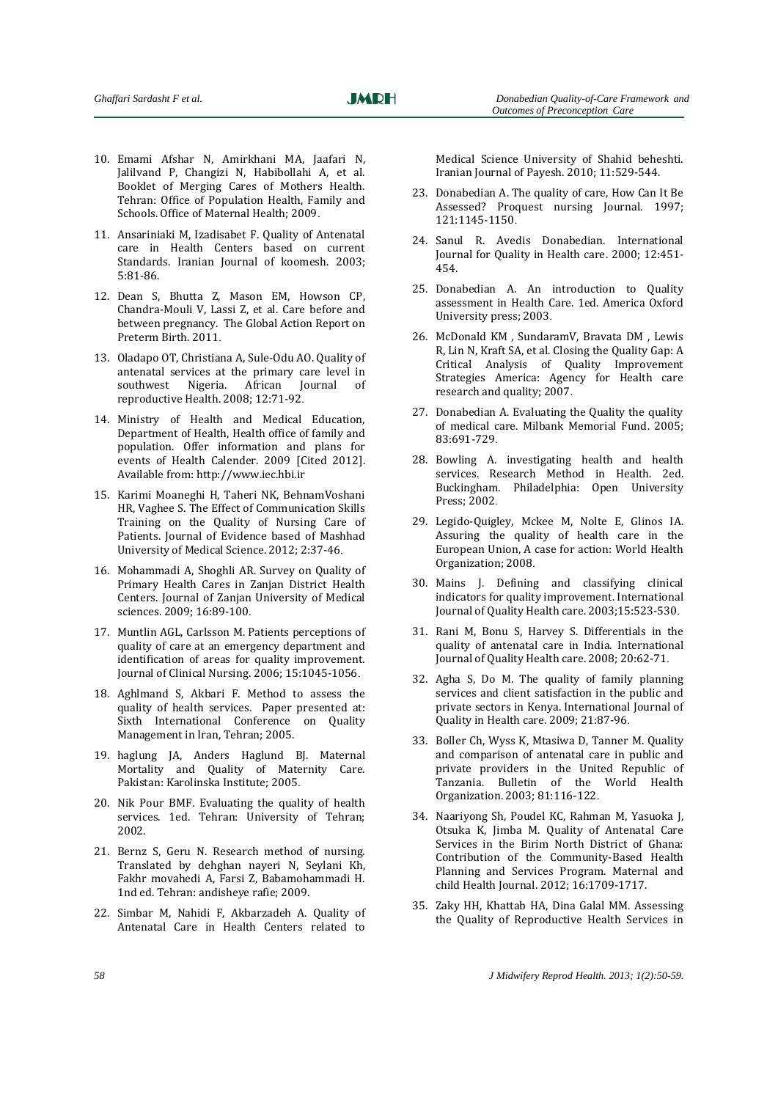- 10. Emami Afshar N, Amirkhani MA, Jaafari N, Jalilvand P, Changizi N, Habibollahi A, et al. Booklet of Merging Cares of Mothers Health. Tehran: Office of Population Health, Family and Schools. Office of Maternal Health; 2009.
- 11. Ansariniaki M, Izadisabet F. Quality of Antenatal care in Health Centers based on current Standards. Iranian Journal of koomesh. 2003; 5:81-86.
- 12. Dean S, Bhutta Z, Mason EM, Howson CP, Chandra-Mouli V, Lassi Z, et al. Care before and between pregnancy. The Global Action Report on Preterm Birth. 2011.
- 13. Oladapo OT, Christiana A, Sule-Odu AO. Quality of antenatal services at the primary care level in southwest Nigeria. African Journal of reproductive Health. 2008; 12:71-92.
- 14. Ministry of Health and Medical Education, Department of Health, Health office of family and population. Offer information and plans for events of Health Calender. 2009 [Cited 2012]. Available from: http://www.iec.hbi.ir
- 15. Karimi Moaneghi H, Taheri NK, BehnamVoshani HR, Vaghee S. The Effect of Communication Skills Training on the Quality of Nursing Care of Patients. Journal of Evidence based of Mashhad University of Medical Science. 2012; 2:37-46.
- 16. Mohammadi A, Shoghli AR. Survey on Quality of Primary Health Cares in Zanjan District Health Centers. Journal of Zanjan University of Medical sciences. 2009; 16:89-100.
- 17. Muntlin AGL, Carlsson M. Patients perceptions of quality of care at an emergency department and identification of areas for quality improvement. Journal of Clinical Nursing. 2006; 15:1045-1056.
- 18. Aghlmand S, Akbari F. Method to assess the quality of health services. Paper presented at: Sixth International Conference on Quality Management in Iran, Tehran; 2005.
- 19. haglung JA, Anders Haglund BJ. Maternal Mortality and Quality of Maternity Care. Pakistan: Karolinska Institute; 2005.
- 20. Nik Pour BMF. Evaluating the quality of health services. 1ed. Tehran: University of Tehran; 2002.
- 21. Bernz S, Geru N. Research method of nursing. Translated by dehghan nayeri N, Seylani Kh, Fakhr movahedi A, Farsi Z, Babamohammadi H. 1nd ed. Tehran: andisheye rafie; 2009.
- 22. Simbar M, Nahidi F, Akbarzadeh A. Quality of Antenatal Care in Health Centers related to

Medical Science University of Shahid beheshti. Iranian Journal of Payesh. 2010; 11:529-544.

- 23. Donabedian A. The quality of care, How Can It Be Assessed? Proquest nursing Journal. 1997; 121:1145-1150.
- 24. Sanul R. Avedis Donabedian. International Journal for Quality in Health care. 2000; 12:451- 454.
- 25. Donabedian A. An introduction to Quality assessment in Health Care. 1ed. America Oxford University press; 2003.
- 26. McDonald KM , SundaramV, Bravata DM , Lewis R, Lin N, Kraft SA, et al. Closing the Quality Gap: A Critical Analysis of Quality Improvement Strategies America: Agency for Health care research and quality; 2007.
- 27. Donabedian A. Evaluating the Quality the quality of medical care. Milbank Memorial Fund. 2005; 83:691-729.
- 28. Bowling A. investigating health and health services. Research Method in Health. 2ed. Buckingham. Philadelphia: Open University Press; 2002.
- 29. Legido-Quigley, Mckee M, Nolte E, Glinos IA. Assuring the quality of health care in the European Union, A case for action: World Health Organization; 2008.
- 30. Mains J. Defining and classifying clinical indicators for quality improvement. International Journal of Quality Health care. 2003;15:523-530.
- 31. Rani M, Bonu S, Harvey S. Differentials in the quality of antenatal care in India. International Journal of Quality Health care. 2008; 20:62-71.
- 32. Agha S, Do M. The quality of family planning services and client satisfaction in the public and private sectors in Kenya. International Journal of Quality in Health care. 2009; 21:87-96.
- 33. Boller Ch, Wyss K, Mtasiwa D, Tanner M. Quality and comparison of antenatal care in public and private providers in the United Republic of Tanzania. Bulletin of the World Health Organization. 2003; 81:116-122.
- 34. Naariyong Sh, Poudel KC, Rahman M, Yasuoka J, Otsuka K, Jimba M. Quality of Antenatal Care Services in the Birim North District of Ghana: Contribution of the Community-Based Health Planning and Services Program. Maternal and child Health Journal. 2012; 16:1709-1717.
- 35. Zaky HH, Khattab HA, Dina Galal MM. Assessing the Quality of Reproductive Health Services in